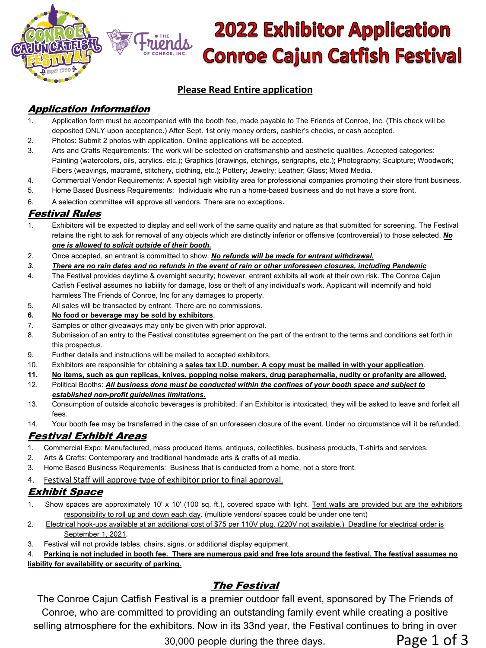

# **2022 Exhibitor Application Conroe Cajun Catfish Festival**

### **Please Read Entire application**

## Application Information

- 1. Application form must be accompanied with the booth fee, made payable to The Friends of Conroe, Inc. (This check will be deposited ONLY upon acceptance.) After Sept. 1st only money orders, cashier's checks, or cash accepted.
- 2. Photos: Submit 2 photos with application. Online applications will be accepted.
- 3. Arts and Crafts Requirements: The work will be selected on craftsmanship and aesthetic qualities. Accepted categories: Painting (watercolors, oils, acrylics. etc.); Graphics (drawings, etchings, serigraphs, etc.); Photography; Sculpture; Woodwork; Fibers (weavings, macramé, stitchery, clothing, etc.); Pottery; Jewelry; Leather; Glass; Mixed Media.
- 4. Commercial Vendor Requirements: A special high visibility area for professional companies promoting their store front business.
- 5. Home Based Business Requirements: Individuals who run a home-based business and do not have a store front.
- 6. A selection committee will approve all vendors. There are no exceptions.

#### Festival Rules

- 1. Exhibitors will be expected to display and sell work of the same quality and nature as that submitted for screening. The Festival retains the right to ask for removal of any objects which are distinctly inferior or offensive (controversial) to those selected. *No one is allowed to solicit outside of their booth.*
- 2. Once accepted, an entrant is committed to show. *No refunds will be made for entrant withdrawal.*
- *3. There are no rain dates and no refunds in the event of rain or other unforeseen closures, including Pandemic*
- 4. The Festival provides daytime & overnight security; however, entrant exhibits all work at their own risk. The Conroe Cajun Catfish Festival assumes no liability for damage, loss or theft of any individual's work. Applicant will indemnify and hold harmless The Friends of Conroe, Inc for any damages to property.
- 5. All sales will be transacted by entrant. There are no commissions.
- **6. No food or beverage may be sold by exhibitors**.
- 7. Samples or other giveaways may only be given with prior approval.
- 8. Submission of an entry to the Festival constitutes agreement on the part of the entrant to the terms and conditions set forth in this prospectus.
- 9. Further details and instructions will be mailed to accepted exhibitors.
- 10. Exhibitors are responsible for obtaining a **sales tax I.D. number. A copy must be mailed in with your application**.
- **11. No items, such as gun replicas, knives, popping noise makers, drug paraphernalia, nudity or profanity are allowed.**
- 12. Political Booths: *All business done must be conducted within the confines of your booth space and subject to established non-profit guidelines limitations.*
- 13. Consumption of outside alcoholic beverages is prohibited; if an Exhibitor is intoxicated, they will be asked to leave and forfeit all fees.
- 14. Your booth fee may be transferred in the case of an unforeseen closure of the event. Under no circumstance will it be refunded.

## Festival Exhibit Areas

- 1. Commercial Expo: Manufactured, mass produced items, antiques, collectibles, business products, T-shirts and services.
- 2. Arts & Crafts: Contemporary and traditional handmade arts & crafts of all media.
- 3. Home Based Business Requirements: Business that is conducted from a home, not a store front.
- 4. Festival Staff will approve type of exhibitor prior to final approval.

## Exhibit Space

- 1. Show spaces are approximately 10' x 10' (100 sq. ft.), covered space with light. Tent walls are provided but are the exhibitors responsibility to roll up and down each day. (multiple vendors/ spaces could be under one tent)
- 2. Electrical hook-ups available at an additional cost of \$75 per 110V plug. (220V not available.) Deadline for electrical order is September 1, 2021.
- 3. Festival will not provide tables, chairs, signs, or additional display equipment.
- 4. **Parking is not included in booth fee. There are numerous paid and free lots around the festival. The festival assumes no**

#### **liability for availability or security of parking.**

## The Festival

The Conroe Cajun Catfish Festival is a premier outdoor fall event, sponsored by The Friends of Conroe, who are committed to providing an outstanding family event while creating a positive selling atmosphere for the exhibitors. Now in its 33nd year, the Festival continues to bring in over

30,000 people during the three days. Page 1 of 3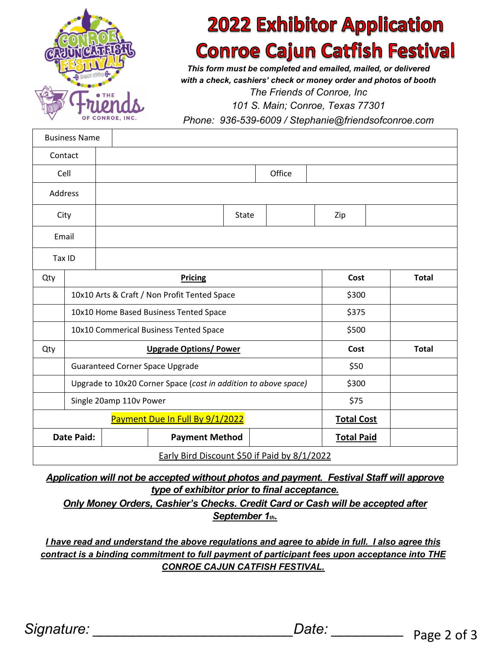

## **2022 Exhibitor Application Conroe Cajun Catfish Festival**

*This form must be completed and emailed, mailed, or delivered with a check, cashiers' check or money order and photos of booth The Friends of Conroe, Inc*

*101 S. Main; Conroe, Texas 77301*

*Phone: 936-539-6009 / Stephanie@friendsofconroe.com*

|                                              | <b>Business Name</b>                                            |                |                       |       |  |     |                   |              |
|----------------------------------------------|-----------------------------------------------------------------|----------------|-----------------------|-------|--|-----|-------------------|--------------|
|                                              | Contact                                                         |                |                       |       |  |     |                   |              |
| Cell                                         |                                                                 | Office         |                       |       |  |     |                   |              |
|                                              | Address                                                         |                |                       |       |  |     |                   |              |
| City                                         |                                                                 |                |                       | State |  | Zip |                   |              |
| Email                                        |                                                                 |                |                       |       |  |     |                   |              |
| Tax ID                                       |                                                                 |                |                       |       |  |     |                   |              |
| Qty                                          |                                                                 | <b>Pricing</b> |                       |       |  |     | Cost              | <b>Total</b> |
|                                              | 10x10 Arts & Craft / Non Profit Tented Space                    |                |                       |       |  |     | \$300             |              |
|                                              | 10x10 Home Based Business Tented Space                          |                |                       |       |  |     | \$375             |              |
|                                              | 10x10 Commerical Business Tented Space                          |                |                       |       |  |     | \$500             |              |
| Qty                                          | <b>Upgrade Options/Power</b>                                    |                |                       |       |  |     | Cost              | <b>Total</b> |
|                                              | Guaranteed Corner Space Upgrade                                 |                |                       |       |  |     | \$50              |              |
|                                              | Upgrade to 10x20 Corner Space (cost in addition to above space) |                |                       |       |  |     | \$300             |              |
|                                              | Single 20amp 110v Power                                         |                |                       |       |  |     | \$75              |              |
| Payment Due In Full By 9/1/2022              |                                                                 |                |                       |       |  |     | <b>Total Cost</b> |              |
| <b>Date Paid:</b>                            |                                                                 |                | <b>Payment Method</b> |       |  |     | <b>Total Paid</b> |              |
| Early Bird Discount \$50 if Paid by 8/1/2022 |                                                                 |                |                       |       |  |     |                   |              |

*Application will not be accepted without photos and payment. Festival Staff will approve type of exhibitor prior to final acceptance.*

*Only Money Orders, Cashier's Checks. Credit Card or Cash will be accepted after September 1th.*

*I have read and understand the above regulations and agree to abide in full. I also agree this contract is a binding commitment to full payment of participant fees upon acceptance into THE CONROE CAJUN CATFISH FESTIVAL.*

*Signature: \_\_\_\_\_\_\_\_\_\_\_\_\_\_\_\_\_\_\_\_\_\_\_\_\_Date: \_\_\_\_\_\_\_\_\_* Page 2 of 3